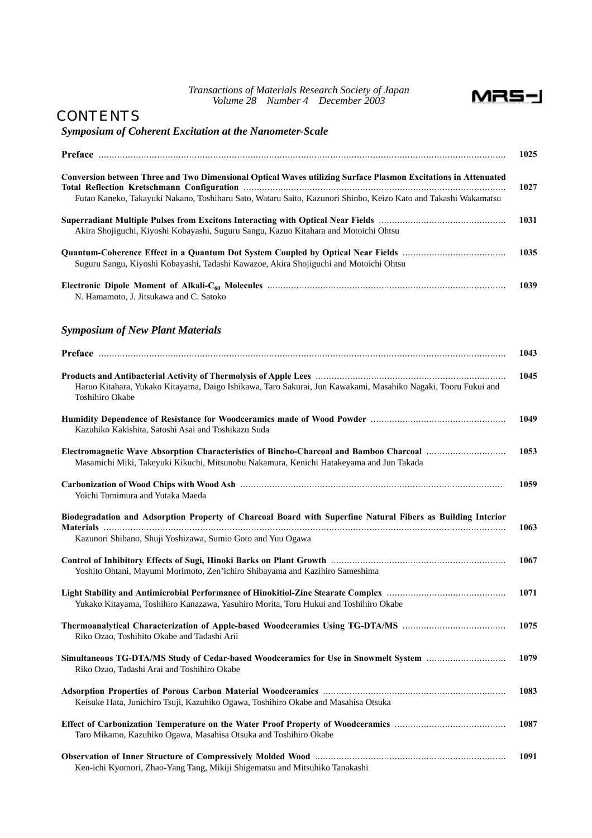

## **CONTENTS**

## *Symposium of Coherent Excitation at the Nanometer-Scale*

|                                                                                                                                                                                   | 1025 |
|-----------------------------------------------------------------------------------------------------------------------------------------------------------------------------------|------|
| Conversion between Three and Two Dimensional Optical Waves utilizing Surface Plasmon Excitations in Attenuated                                                                    | 1027 |
| Futao Kaneko, Takayuki Nakano, Toshiharu Sato, Wataru Saito, Kazunori Shinbo, Keizo Kato and Takashi Wakamatsu                                                                    |      |
| Akira Shojiguchi, Kiyoshi Kobayashi, Suguru Sangu, Kazuo Kitahara and Motoichi Ohtsu                                                                                              | 1031 |
| Suguru Sangu, Kiyoshi Kobayashi, Tadashi Kawazoe, Akira Shojiguchi and Motoichi Ohtsu                                                                                             | 1035 |
| N. Hamamoto, J. Jitsukawa and C. Satoko                                                                                                                                           | 1039 |
| <b>Symposium of New Plant Materials</b>                                                                                                                                           |      |
|                                                                                                                                                                                   | 1043 |
|                                                                                                                                                                                   | 1045 |
| Haruo Kitahara, Yukako Kitayama, Daigo Ishikawa, Taro Sakurai, Jun Kawakami, Masahiko Nagaki, Tooru Fukui and<br>Toshihiro Okabe                                                  |      |
| Kazuhiko Kakishita, Satoshi Asai and Toshikazu Suda                                                                                                                               | 1049 |
| Electromagnetic Wave Absorption Characteristics of Bincho-Charcoal and Bamboo Charcoal<br>Masamichi Miki, Takeyuki Kikuchi, Mitsunobu Nakamura, Kenichi Hatakeyama and Jun Takada | 1053 |
| Yoichi Tomimura and Yutaka Maeda                                                                                                                                                  | 1059 |
| Biodegradation and Adsorption Property of Charcoal Board with Superfine Natural Fibers as Building Interior                                                                       | 1063 |
| Kazunori Shibano, Shuji Yoshizawa, Sumio Goto and Yuu Ogawa                                                                                                                       |      |
| Yoshito Ohtani, Mayumi Morimoto, Zen'ichiro Shibayama and Kazihiro Sameshima                                                                                                      | 1067 |
| Yukako Kitayama, Toshihiro Kanazawa, Yasuhiro Morita, Toru Hukui and Toshihiro Okabe                                                                                              | 1071 |
| Riko Ozao, Toshihito Okabe and Tadashi Arii                                                                                                                                       | 1075 |
| Simultaneous TG-DTA/MS Study of Cedar-based Woodceramics for Use in Snowmelt System<br>Riko Ozao, Tadashi Arai and Toshihiro Okabe                                                | 1079 |
| Keisuke Hata, Junichiro Tsuji, Kazuhiko Ogawa, Toshihiro Okabe and Masahisa Otsuka                                                                                                | 1083 |
| Taro Mikamo, Kazuhiko Ogawa, Masahisa Otsuka and Toshihiro Okabe                                                                                                                  | 1087 |
| Ken-ichi Kyomori, Zhao-Yang Tang, Mikiji Shigematsu and Mitsuhiko Tanakashi                                                                                                       | 1091 |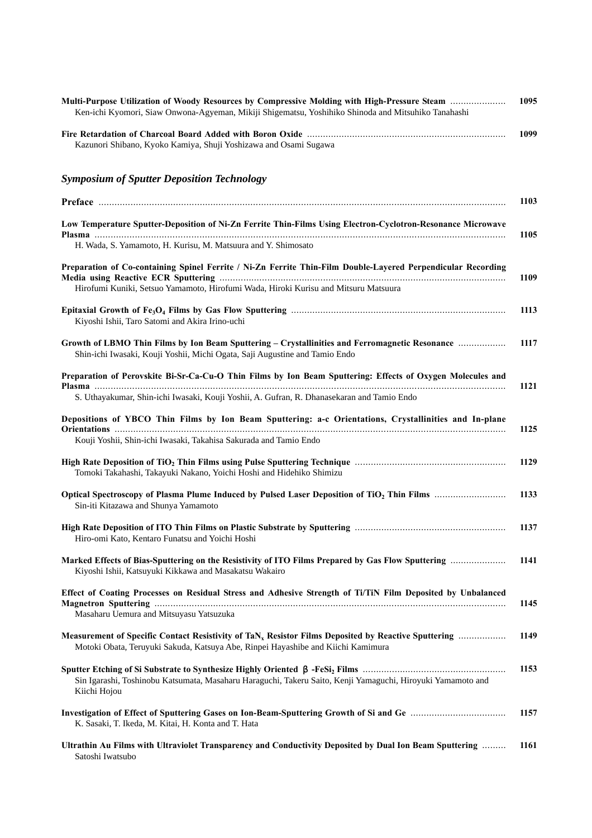| Multi-Purpose Utilization of Woody Resources by Compressive Molding with High-Pressure Steam<br>Ken-ichi Kyomori, Siaw Onwona-Agyeman, Mikiji Shigematsu, Yoshihiko Shinoda and Mitsuhiko Tanahashi | 1095 |
|-----------------------------------------------------------------------------------------------------------------------------------------------------------------------------------------------------|------|
| Kazunori Shibano, Kyoko Kamiya, Shuji Yoshizawa and Osami Sugawa                                                                                                                                    | 1099 |
| <b>Symposium of Sputter Deposition Technology</b>                                                                                                                                                   |      |
|                                                                                                                                                                                                     | 1103 |
| Low Temperature Sputter-Deposition of Ni-Zn Ferrite Thin-Films Using Electron-Cyclotron-Resonance Microwave                                                                                         | 1105 |
| H. Wada, S. Yamamoto, H. Kurisu, M. Matsuura and Y. Shimosato                                                                                                                                       |      |
| Preparation of Co-containing Spinel Ferrite / Ni-Zn Ferrite Thin-Film Double-Layered Perpendicular Recording                                                                                        | 1109 |
| Hirofumi Kuniki, Setsuo Yamamoto, Hirofumi Wada, Hiroki Kurisu and Mitsuru Matsuura                                                                                                                 |      |
| Kiyoshi Ishii, Taro Satomi and Akira Irino-uchi                                                                                                                                                     | 1113 |
| Growth of LBMO Thin Films by Ion Beam Sputtering - Crystallinities and Ferromagnetic Resonance<br>Shin-ichi Iwasaki, Kouji Yoshii, Michi Ogata, Saji Augustine and Tamio Endo                       | 1117 |
| Preparation of Perovskite Bi-Sr-Ca-Cu-O Thin Films by Ion Beam Sputtering: Effects of Oxygen Molecules and                                                                                          | 1121 |
| S. Uthayakumar, Shin-ichi Iwasaki, Kouji Yoshii, A. Gufran, R. Dhanasekaran and Tamio Endo                                                                                                          |      |
| Depositions of YBCO Thin Films by Ion Beam Sputtering: a-c Orientations, Crystallinities and In-plane                                                                                               | 1125 |
| Kouji Yoshii, Shin-ichi Iwasaki, Takahisa Sakurada and Tamio Endo                                                                                                                                   |      |
| Tomoki Takahashi, Takayuki Nakano, Yoichi Hoshi and Hidehiko Shimizu                                                                                                                                | 1129 |
| Sin-iti Kitazawa and Shunya Yamamoto                                                                                                                                                                | 1133 |
| Hiro-omi Kato, Kentaro Funatsu and Yoichi Hoshi                                                                                                                                                     | 1137 |
| Marked Effects of Bias-Sputtering on the Resistivity of ITO Films Prepared by Gas Flow Sputtering<br>Kiyoshi Ishii, Katsuyuki Kikkawa and Masakatsu Wakairo                                         | 1141 |
| Effect of Coating Processes on Residual Stress and Adhesive Strength of Ti/TiN Film Deposited by Unbalanced<br>Masaharu Uemura and Mitsuyasu Yatsuzuka                                              | 1145 |
| Measurement of Specific Contact Resistivity of TaN <sub>x</sub> Resistor Films Deposited by Reactive Sputtering<br>Motoki Obata, Teruyuki Sakuda, Katsuya Abe, Rinpei Hayashibe and Kiichi Kamimura | 1149 |
| <b>Sputter Etching of Si Substrate to Synthesize Highly Oriented</b><br>Sin Igarashi, Toshinobu Katsumata, Masaharu Haraguchi, Takeru Saito, Kenji Yamaguchi, Hiroyuki Yamamoto and<br>Kiichi Hojou | 1153 |
| K. Sasaki, T. Ikeda, M. Kitai, H. Konta and T. Hata                                                                                                                                                 | 1157 |
| Ultrathin Au Films with Ultraviolet Transparency and Conductivity Deposited by Dual Ion Beam Sputtering<br>Satoshi Iwatsubo                                                                         | 1161 |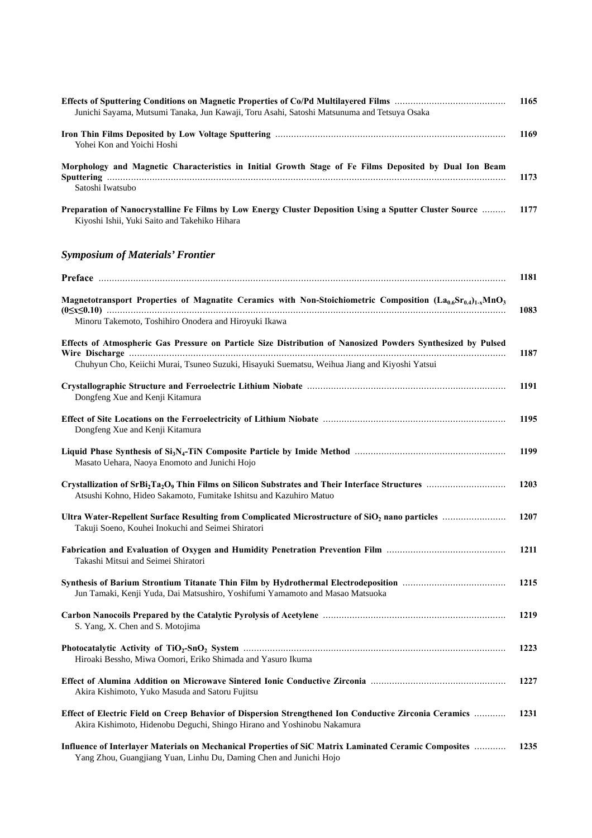| Junichi Sayama, Mutsumi Tanaka, Jun Kawaji, Toru Asahi, Satoshi Matsunuma and Tetsuya Osaka                                                                                       | 1165 |
|-----------------------------------------------------------------------------------------------------------------------------------------------------------------------------------|------|
| Yohei Kon and Yoichi Hoshi                                                                                                                                                        | 1169 |
| Morphology and Magnetic Characteristics in Initial Growth Stage of Fe Films Deposited by Dual Ion Beam                                                                            | 1173 |
| Satoshi Iwatsubo                                                                                                                                                                  |      |
| Preparation of Nanocrystalline Fe Films by Low Energy Cluster Deposition Using a Sputter Cluster Source<br>Kiyoshi Ishii, Yuki Saito and Takehiko Hihara                          | 1177 |
| <b>Symposium of Materials' Frontier</b>                                                                                                                                           |      |
|                                                                                                                                                                                   | 1181 |
| Magnetotransport Properties of Magnatite Ceramics with Non-Stoichiometric Composition $(La_{0.6}Sr_{0.4})_{1-x}MnO_3$                                                             | 1083 |
| Minoru Takemoto, Toshihiro Onodera and Hiroyuki Ikawa                                                                                                                             |      |
| Effects of Atmospheric Gas Pressure on Particle Size Distribution of Nanosized Powders Synthesized by Pulsed                                                                      | 1187 |
| Chuhyun Cho, Keiichi Murai, Tsuneo Suzuki, Hisayuki Suematsu, Weihua Jiang and Kiyoshi Yatsui                                                                                     |      |
| Dongfeng Xue and Kenji Kitamura                                                                                                                                                   | 1191 |
| Dongfeng Xue and Kenji Kitamura                                                                                                                                                   | 1195 |
| Masato Uehara, Naoya Enomoto and Junichi Hojo                                                                                                                                     | 1199 |
| Atsushi Kohno, Hideo Sakamoto, Fumitake Ishitsu and Kazuhiro Matuo                                                                                                                | 1203 |
| Ultra Water-Repellent Surface Resulting from Complicated Microstructure of SiO <sub>2</sub> nano particles<br>Takuji Soeno, Kouhei Inokuchi and Seimei Shiratori                  | 1207 |
| Takashi Mitsui and Seimei Shiratori                                                                                                                                               | 1211 |
| Jun Tamaki, Kenji Yuda, Dai Matsushiro, Yoshifumi Yamamoto and Masao Matsuoka                                                                                                     | 1215 |
| S. Yang, X. Chen and S. Motojima                                                                                                                                                  | 1219 |
| Hiroaki Bessho, Miwa Oomori, Eriko Shimada and Yasuro Ikuma                                                                                                                       | 1223 |
| Akira Kishimoto, Yuko Masuda and Satoru Fujitsu                                                                                                                                   | 1227 |
| Effect of Electric Field on Creep Behavior of Dispersion Strengthened Ion Conductive Zirconia Ceramics<br>Akira Kishimoto, Hidenobu Deguchi, Shingo Hirano and Yoshinobu Nakamura | 1231 |
| Influence of Interlayer Materials on Mechanical Properties of SiC Matrix Laminated Ceramic Composites<br>Yang Zhou, Guangjiang Yuan, Linhu Du, Daming Chen and Junichi Hojo       | 1235 |